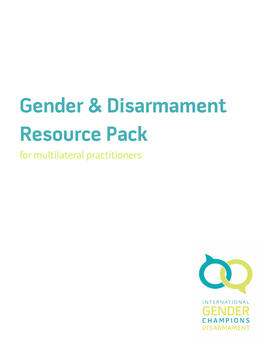# **Gender & Disarmament Resource Pack**

for multilateral practitioners

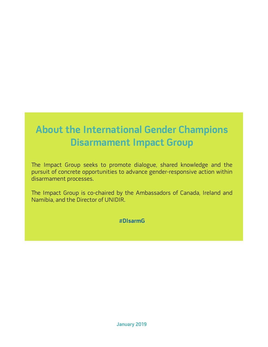# **About the International Gender Champions Disarmament Impact Group**

The Impact Group seeks to promote dialogue, shared knowledge and the pursuit of concrete opportunities to advance gender-responsive action within disarmament processes.

The Impact Group is co-chaired by the Ambassadors of Canada, Ireland and Namibia, and the Director of UNIDIR.

### **#DIsarmG**

**January 2019**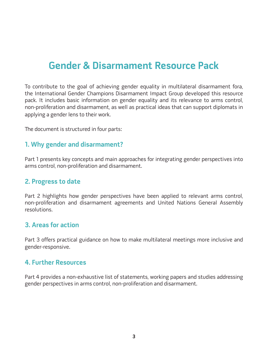# **Gender & Disarmament Resource Pack**

To contribute to the goal of achieving gender equality in multilateral disarmament fora, the International Gender Champions Disarmament Impact Group developed this resource pack. It includes basic information on gender equality and its relevance to arms control, non-proliferation and disarmament, as well as practical ideas that can support diplomats in applying a gender lens to their work.

The document is structured in four parts:

# **1. Why gender and disarmament?**

Part 1 presents key concepts and main approaches for integrating gender perspectives into arms control, non-proliferation and disarmament.

## **2. Progress to date**

Part 2 highlights how gender perspectives have been applied to relevant arms control, non-proliferation and disarmament agreements and United Nations General Assembly resolutions.

## **3. Areas for action**

Part 3 offers practical guidance on how to make multilateral meetings more inclusive and gender-responsive.

## **4. Further Resources**

Part 4 provides a non-exhaustive list of statements, working papers and studies addressing gender perspectives in arms control, non-proliferation and disarmament.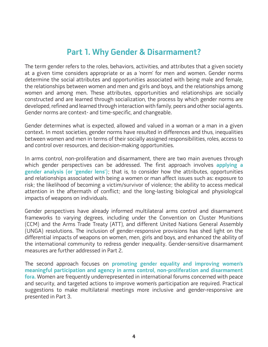# **Part 1. Why Gender & Disarmament?**

The term gender refers to the roles, behaviors, activities, and attributes that a given society at a given time considers appropriate or as a 'norm' for men and women. Gender norms determine the social attributes and opportunities associated with being male and female, the relationships between women and men and girls and boys, and the relationships among women and among men. These attributes, opportunities and relationships are socially constructed and are learned through socialization, the process by which gender norms are developed, refined and learned through interaction with family, peers and other social agents. Gender norms are context- and time-specific, and changeable.

Gender determines what is expected, allowed and valued in a woman or a man in a given context. In most societies, gender norms have resulted in differences and thus, inequalities between women and men in terms of their socially assigned responsibilities, roles, access to and control over resources, and decision-making opportunities.

In arms control, non-proliferation and disarmament, there are two main avenues through which gender perspectives can be addressed. The first approach involves **applying a gender analysis (or 'gender lens')**; that is, to consider how the attributes, opportunities and relationships associated with being a women or man affect issues such as: exposure to risk; the likelihood of becoming a victim/survivor of violence; the ability to access medical attention in the aftermath of conflict; and the long-lasting biological and physiological impacts of weapons on individuals.

Gender perspectives have already informed multilateral arms control and disarmament frameworks to varying degrees, including under the Convention on Cluster Munitions (CCM) and the Arms Trade Treaty (ATT), and different United Nations General Assembly (UNGA) resolutions. The inclusion of gender-responsive provisions has shed light on the differential impacts of weapons on women, men, girls and boys, and enhanced the ability of the international community to redress gender inequality. Gender-sensitive disarmament measures are further addressed in Part 2.

The second approach focuses on **promoting gender equality and improving women's meaningful participation and agency in arms control, non-proliferation and disarmament fora.** Women are frequently underrepresented in international forums concerned with peace and security, and targeted actions to improve women's participation are required. Practical suggestions to make multilateral meetings more inclusive and gender-responsive are presented in Part 3.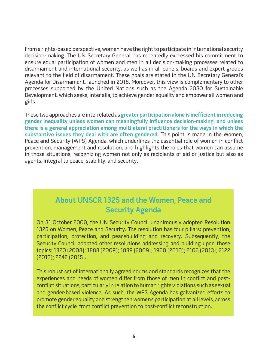From a rights-based perspective, women have the right to participate in international security decision-making. The UN Secretary General has repeatedly expressed his commitment to ensure equal participation of women and men in all decision-making processes related to disarmament and international security, as well as in all panels, boards and expert groups relevant to the field of disarmament. These goals are stated in the UN Secretary General's Agenda for Disarmament, launched in 2018. Moreover, this view is complementary to other processes supported by the United Nations such as the Agenda 2030 for Sustainable Development, which seeks, inter alia, to achieve gender equality and empower all women and girls.

These two approaches are interrelated as **greater participation alone is inefficient in reducing gender inequality unless women can meaningfully influence decision-making, and unless there is a general appreciation among multilateral practitioners for the ways in which the substantive issues they deal with are often gendered.** This point is made in the Women, Peace and Security (WPS) Agenda, which underlines the essential role of women in conflict prevention, management and resolution, and highlights the roles that women can assume in those situations, recognizing women not only as recipients of aid or justice but also as agents, integral to peace, stability, and security.

# **About UNSCR 1325 and the Women, Peace and Security Agenda**

On 31 October 2000, the UN Security Council unanimously adopted Resolution 1325 on Women, Peace and Security. The resolution has four pillars: prevention, participation, protection, and peacebuilding and recovery. Subsequently, the Security Council adopted other resolutions addressing and building upon those topics: 1820 (2008); 1888 (2009); 1889 (2009); 1960 (2010); 2106 (2013); 2122 (2013); 2242 (2015).

This robust set of internationally agreed norms and standards recognizes that the experiences and needs of women differ from those of men in conflict and postconflict situations, particularly in relation to human rights violations such as sexual and gender-based violence. As such, the WPS Agenda has galvanized efforts to promote gender equality and strengthen women's participation at all levels, across the conflict cycle, from conflict prevention to post-conflict reconstruction.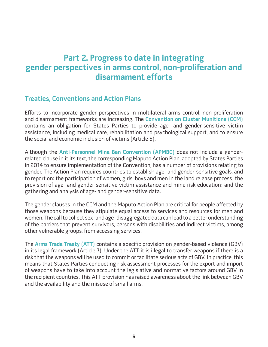# **Part 2. Progress to date in integrating gender perspectives in arms control, non-proliferation and disarmament efforts**

## **Treaties, Conventions and Action Plans**

Efforts to incorporate gender perspectives in multilateral arms control, non-proliferation and disarmament frameworks are increasing. The **Convention on Cluster Munitions (CCM)** contains an obligation for States Parties to provide age- and gender-sensitive victim assistance, including medical care, rehabilitation and psychological support, and to ensure the social and economic inclusion of victims (Article 5).

Although the **Anti-Personnel Mine Ban Convention (APMBC)** does not include a genderrelated clause in it its text, the corresponding Maputo Action Plan, adopted by States Parties in 2014 to ensure implementation of the Convention, has a number of provisions relating to gender. The Action Plan requires countries to establish age- and gender-sensitive goals, and to report on: the participation of women, girls, boys and men in the land release process; the provision of age- and gender-sensitive victim assistance and mine risk education; and the gathering and analysis of age- and gender-sensitive data.

The gender clauses in the CCM and the Maputo Action Plan are critical for people affected by those weapons because they stipulate equal access to services and resources for men and women. The call to collect sex- and age- disaggregated data can lead to a better understanding of the barriers that prevent survivors, persons with disabilities and indirect victims, among other vulnerable groups, from accessing services.

The **Arms Trade Treaty (ATT)** contains a specific provision on gender-based violence (GBV) in its legal framework (Article 7). Under the ATT it is illegal to transfer weapons if there is a risk that the weapons will be used to commit or facilitate serious acts of GBV. In practice, this means that States Parties conducting risk assessment processes for the export and import of weapons have to take into account the legislative and normative factors around GBV in the recipient countries. This ATT provision has raised awareness about the link between GBV and the availability and the misuse of small arms.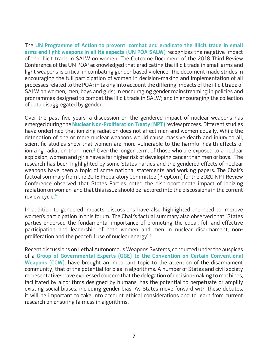The **UN Programme of Action to prevent, combat and eradicate the illicit trade in small arms and light weapons in all its aspects (UN POA SALW)** recognizes the negative impact of the illicit trade in SALW on women. The Outcome Document of the 2018 Third Review Conference of the UN POA<sup>1</sup> acknowledged that eradicating the illicit trade in small arms and light weapons is critical in combating gender-based violence. The document made strides in encouraging the full participation of women in decision-making and implementation of all processes related to the POA; in taking into account the differing impacts of the illicit trade of SALW on women, men, boys and girls; in encouraging gender mainstreaming in policies and programmes designed to combat the illicit trade in SALW; and in encouraging the collection of data disaggregated by gender.

Over the past five years, a discussion on the gendered impact of nuclear weapons has emerged during the **Nuclear Non-Proliferation Treaty (NPT)** review process. Different studies have underlined that ionizing radiation does not affect men and women equally. While the detonation of one or more nuclear weapons would cause massive death and injury to all, scientific studies show that women are more vulnerable to the harmful health effects of ionizing radiation than men.<sup>2</sup> Over the longer term, of those who are exposed to a nuclear explosion, women and girls have a far higher risk of developing cancer than men or boys.**<sup>3</sup>** The research has been highlighted by some States Parties and the gendered effects of nuclear weapons have been a topic of some national statements and working papers. The Chair's factual summary from the 2018 Preparatory Committee (PrepCom) for the 2020 NPT Review Conference observed that States Parties noted the disproportionate impact of ionizing radiation on women, and that this issue should be factored into the discussions in the current review cycle.**<sup>4</sup>**

In addition to gendered impacts, discussions have also highlighted the need to improve women's participation in this forum. The Chair's factual summary also observed that "States parties endorsed the fundamental importance of promoting the equal, full and effective participation and leadership of both women and men in nuclear disarmament, nonproliferation and the peaceful use of nuclear energy".**<sup>5</sup>**

Recent discussions on Lethal Autonomous Weapons Systems, conducted under the auspices of a **Group of Governmental Experts (GGE) to the Convention on Certain Conventional Weapons (CCW)**, have brought an important topic to the attention of the disarmament community; that of the potential for bias in algorithms. A number of States and civil society representatives have expressed concern that the delegation of decision-making to machines, facilitated by algorithms designed by humans, has the potential to perpetuate or amplify existing social biases, including gender bias. As States move forward with these debates, it will be important to take into account ethical considerations and to learn from current research on ensuring fairness in algorithms.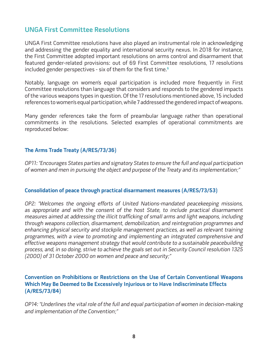# **UNGA First Committee Resolutions**

UNGA First Committee resolutions have also played an instrumental role in acknowledging and addressing the gender equality and international security nexus. In 2018 for instance, the First Committee adopted important resolutions on arms control and disarmament that featured gender-related provisions: out of 69 First Committee resolutions, 17 resolutions included gender perspectives - six of them for the first time.**<sup>6</sup>**

Notably, language on women's equal participation is included more frequently in First Committee resolutions than language that considers and responds to the gendered impacts of the various weapons types in question. Of the 17 resolutions mentioned above, 15 included references to women's equal participation, while 7 addressed the gendered impact of weapons.

Many gender references take the form of preambular language rather than operational commitments in the resolutions. Selected examples of operational commitments are reproduced below:

### **The Arms Trade Treaty (A/RES/73/36)**

OP11: "Encourages States parties and signatory States to ensure the full and equal participation of women and men in pursuing the object and purpose of the Treaty and its implementation;"

#### **Consolidation of peace through practical disarmament measures (A/RES/73/53)**

OP2: "Welcomes the ongoing efforts of United Nations-mandated peacekeeping missions, as appropriate and with the consent of the host State, to include practical disarmament measures aimed at addressing the illicit trafficking of small arms and light weapons, including through weapons collection, disarmament, demobilization, and reintegration programmes and enhancing physical security and stockpile management practices, as well as relevant training programmes, with a view to promoting and implementing an integrated comprehensive and effective weapons management strategy that would contribute to a sustainable peacebuilding process, and, in so doing, strive to achieve the goals set out in Security Council resolution 1325 (2000) of 31 October 2000 on women and peace and security;"

### **Convention on Prohibitions or Restrictions on the Use of Certain Conventional Weapons Which May Be Deemed to Be Excessively Injurious or to Have Indiscriminate Effects (A/RES/73/84)**

OP14: "Underlines the vital role of the full and equal participation of women in decision-making and implementation of the Convention;"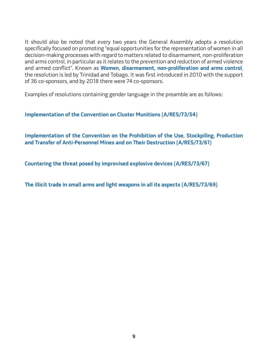It should also be noted that every two years the General Assembly adopts a resolution specifically focused on promoting "equal opportunities for the representation of women in all decision-making processes with regard to matters related to disarmament, non-proliferation and arms control, in particular as it relates to the prevention and reduction of armed violence and armed conflict". Known as **Women, disarmament, non-proliferation and arms control**, the resolution is led by Trinidad and Tobago. It was first introduced in 2010 with the support of 36 co-sponsors, and by 2018 there were 74 co-sponsors.

Examples of resolutions containing gender language in the preamble are as follows:

**Implementation of the Convention on Cluster Munitions (A/RES/73/54)** 

**Implementation of the Convention on the Prohibition of the Use, Stockpiling, Production and Transfer of Anti-Personnel Mines and on Their Destruction (A/RES/73/61)**

**Countering the threat posed by improvised explosive devices (A/RES/73/67)**

**The illicit trade in small arms and light weapons in all its aspects (A/RES/73/69)**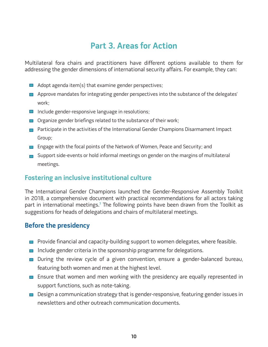# **Part 3. Areas for Action**

Multilateral fora chairs and practitioners have different options available to them for addressing the gender dimensions of international security affairs. For example, they can:

- $\Box$  Adopt agenda item(s) that examine gender perspectives;
- $\Box$  Approve mandates for integrating gender perspectives into the substance of the delegates' work;
- $\blacksquare$  Include gender-responsive language in resolutions;
- $\Box$  Organize gender briefings related to the substance of their work;
- **Participate in the activities of the International Gender Champions Disarmament Impact** Group;
- **Engage with the focal points of the Network of Women, Peace and Security; and**
- $\Box$  Support side-events or hold informal meetings on gender on the margins of multilateral meetings.

# **Fostering an inclusive institutional culture**

The International Gender Champions launched the Gender-Responsive Assembly Toolkit in 2018, a comprehensive document with practical recommendations for all actors taking part in international meetings.**<sup>7</sup>** The following points have been drawn from the Toolkit as suggestions for heads of delegations and chairs of multilateral meetings.

# **Before the presidency**

- $\blacksquare$  Provide financial and capacity-building support to women delegates, where feasible.
- $\blacksquare$  Include gender criteria in the sponsorship programme for delegations.
- During the review cycle of a given convention, ensure a gender-balanced bureau, featuring both women and men at the highest level.
- **Ensure that women and men working with the presidency are equally represented in** support functions, such as note-taking.
- $\Box$  Design a communication strategy that is gender-responsive, featuring gender issues in newsletters and other outreach communication documents.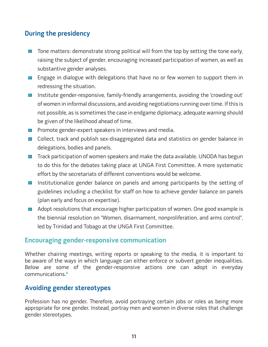# **During the presidency**

- $\Box$  Tone matters: demonstrate strong political will from the top by setting the tone early, raising the subject of gender, encouraging increased participation of women, as well as substantive gender analyses.
- **E** Engage in dialogue with delegations that have no or few women to support them in redressing the situation.
- $\blacksquare$  Institute gender-responsive, family-friendly arrangements, avoiding the 'crowding out' of women in informal discussions, and avoiding negotiations running over time. If this is not possible, as is sometimes the case in endgame diplomacy, adequate warning should be given of the likelihood ahead of time.
- $\Box$  Promote gender-expert speakers in interviews and media.
- $\Box$  Collect, track and publish sex-disaggregated data and statistics on gender balance in delegations, bodies and panels.
- $\Box$  Track participation of women speakers and make the data available. UNODA has begun to do this for the debates taking place at UNGA First Committee. A more systematic effort by the secretariats of different conventions would be welcome.
- $\Box$  Institutionalize gender balance on panels and among participants by the setting of guidelines including a checklist for staff on how to achieve gender balance on panels (plan early and focus on expertise).
- $\Box$  Adopt resolutions that encourage higher participation of women. One good example is the biennial resolution on "Women, disarmament, nonproliferation, and arms control", led by Trinidad and Tobago at the UNGA First Committee.

## **Encouraging gender-responsive communication**

Whether chairing meetings, writing reports or speaking to the media, it is important to be aware of the ways in which language can either enforce or subvert gender inequalities. Below are some of the gender-responsive actions one can adopt in everyday communications.**<sup>8</sup>**

## **Avoiding gender stereotypes**

Profession has no gender. Therefore, avoid portraying certain jobs or roles as being more appropriate for one gender. Instead, portray men and women in diverse roles that challenge gender stereotypes.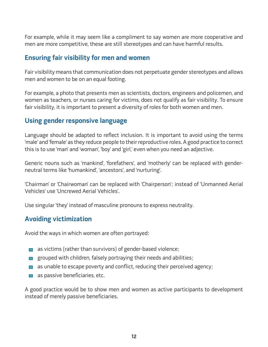For example, while it may seem like a compliment to say women are more cooperative and men are more competitive, these are still stereotypes and can have harmful results.

# **Ensuring fair visibility for men and women**

Fair visibility means that communication does not perpetuate gender stereotypes and allows men and women to be on an equal footing.

For example, a photo that presents men as scientists, doctors, engineers and policemen, and women as teachers, or nurses caring for victims, does not qualify as fair visibility. To ensure fair visibility, it is important to present a diversity of roles for both women and men.

# **Using gender responsive language**

Language should be adapted to reflect inclusion. It is important to avoid using the terms 'male' and 'female' as they reduce people to their reproductive roles. A good practice to correct this is to use 'man' and 'woman', 'boy' and 'girl,' even when you need an adjective.

Generic nouns such as 'mankind', 'forefathers', and 'motherly' can be replaced with genderneutral terms like 'humankind', 'ancestors', and 'nurturing'.

'Chairman' or 'Chairwoman' can be replaced with 'Chairperson'; instead of 'Unmanned Aerial Vehicles' use 'Uncrewed Aerial Vehicles'.

Use singular 'they' instead of masculine pronouns to express neutrality.

# **Avoiding victimization**

Avoid the ways in which women are often portrayed:

- as victims (rather than survivors) of gender-based violence;
- grouped with children, falsely portraying their needs and abilities;
- $\Box$  as unable to escape poverty and conflict, reducing their perceived agency;
- $\blacksquare$  as passive beneficiaries, etc.

A good practice would be to show men and women as active participants to development instead of merely passive beneficiaries.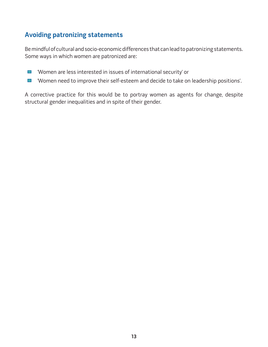# **Avoiding patronizing statements**

Be mindful of cultural and socio-economic differences that can lead to patronizing statements. Some ways in which women are patronized are:

- 'Women are less interested in issues of international security' or  $\blacksquare$
- 'Women need to improve their self-esteem and decide to take on leadership positions'.  $\mathcal{L}_{\mathcal{A}}$

A corrective practice for this would be to portray women as agents for change, despite structural gender inequalities and in spite of their gender.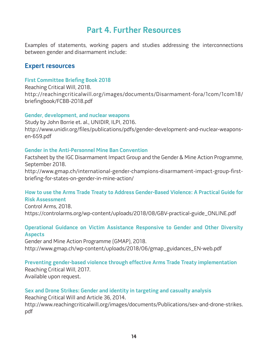# **Part 4. Further Resources**

Examples of statements, working papers and studies addressing the interconnections between gender and disarmament include:

## **Expert resources**

#### **First Committee Briefing Book 2018**

Reaching Critical Will, 2018. http://reachingcriticalwill.org/images/documents/Disarmament-fora/1com/1com18/ briefingbook/FCBB-2018.pdf

#### **Gender, development, and nuclear weapons**

Study by John Borrie et. al., UNIDIR, ILPI, 2016. http://www.unidir.org/files/publications/pdfs/gender-development-and-nuclear-weaponsen-659.pdf

#### **Gender in the Anti-Personnel Mine Ban Convention**

Factsheet by the IGC Disarmament Impact Group and the Gender & Mine Action Programme, September 2018.

http://www.gmap.ch/international-gender-champions-disarmament-impact-group-firstbriefing-for-states-on-gender-in-mine-action/

## **How to use the Arms Trade Treaty to Address Gender-Based Violence: A Practical Guide for Risk Assessment**

Control Arms, 2018. https://controlarms.org/wp-content/uploads/2018/08/GBV-practical-guide\_ONLINE.pdf

#### **Operational Guidance on Victim Assistance Responsive to Gender and Other Diversity Aspects**

Gender and Mine Action Programme (GMAP), 2018. http://www.gmap.ch/wp-content/uploads/2018/06/gmap\_guidances\_EN-web.pdf

#### **Preventing gender-based violence through effective Arms Trade Treaty implementation**

Reaching Critical Will, 2017. Available upon request.

#### **Sex and Drone Strikes: Gender and identity in targeting and casualty analysis**

Reaching Critical Will and Article 36, 2014. http://www.reachingcriticalwill.org/images/documents/Publications/sex-and-drone-strikes. pdf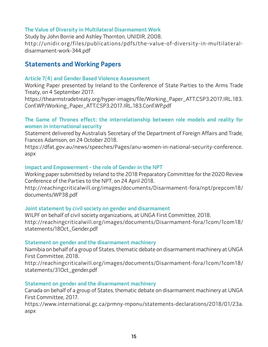#### **The Value of Diversity in Multilateral Disarmament Work**

Study by John Borrie and Ashley Thornton, UNIDIR, 2008. http://unidir.org/files/publications/pdfs/the-value-of-diversity-in-multilateraldisarmament-work-344.pdf

# **Statements and Working Papers**

#### **Article 7(4) and Gender Based Violence Assessment**

Working Paper presented by Ireland to the Conference of State Parties to the Arms Trade Treaty, on 4 September 2017.

https://thearmstradetreaty.org/hyper-images/file/Working\_Paper\_ATT.CSP3.2017.IRL.183. Conf.WP/Working\_Paper\_ATT.CSP3.2017.IRL.183.Conf.WP.pdf

#### **The Game of Thrones effect: the interrelationship between role models and reality for women in international security**

Statement delivered by Australia's Secretary of the Department of Foreign Affairs and Trade, Frances Adamson, on 24 October 2018.

https://dfat.gov.au/news/speeches/Pages/anu-women-in-national-security-conference. aspx

#### **Impact and Empowerment - the role of Gender in the NPT**

Working paper submitted by Ireland to the 2018 Preparatory Committee for the 2020 Review Conference of the Parties to the NPT, on 24 April 2018.

http://reachingcriticalwill.org/images/documents/Disarmament-fora/npt/prepcom18/ documents/WP38.pdf

#### **Joint statement by civil society on gender and disarmament**

WILPF on behalf of civil society organizations, at UNGA First Committee, 2018. http://reachingcriticalwill.org/images/documents/Disarmament-fora/1com/1com18/ statements/18Oct\_Gender.pdf

#### **Statement on gender and the disarmament machinery**

Namibia on behalf of a group of States, thematic debate on disarmament machinery at UNGA First Committee, 2018.

http://reachingcriticalwill.org/images/documents/Disarmament-fora/1com/1com18/ statements/31Oct\_gender.pdf

#### **Statement on gender and the disarmament machinery**

Canada on behalf of a group of States, thematic debate on disarmament machinery at UNGA First Committee, 2017.

https://www.international.gc.ca/prmny-mponu/statements-declarations/2018/01/23a. aspx